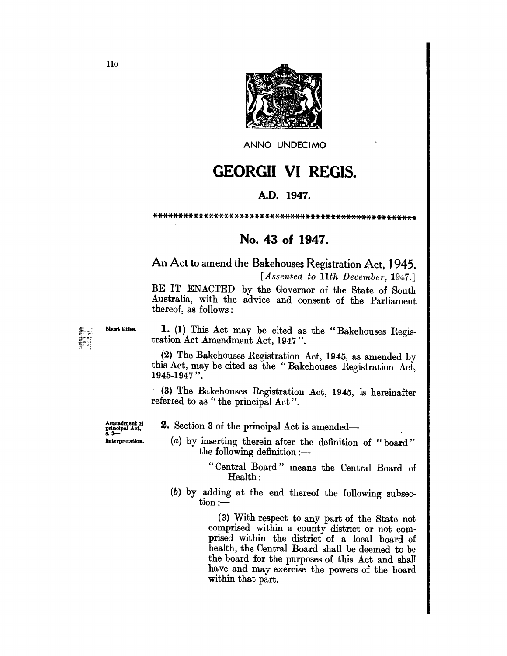

ANNO UNDECIMO

## GEORGII VI REGIS.

## A.D. 1947.

\*\*\*\*\*\*\*\*\*\*\*\*\*\*\*\*\*\*\*\*\*\*\*\*\*\*\*\*\*\*\*\*\*\*\*\*\*\*\*\*\*\*\*\*\*\*\*\*\*\*\*\*

## No. 43 of 1947.

An Act to amend the Bakehouses Registration Act, 1945. *[Assented to 11th December, 1947.]* 

BE IT ENACTED by the Governor of the State of South Australia, with the advice and consent of the Parliament thereof, as follows:

Short titles. 1. (1) This Act may be cited as the "Bakehouses Registration Act Amendment Act, 1947".

> (2) The Bakehouses Registration Act, 1945, as amended by this Act, may be cited as the" Bakehouses Registration Act, 1945-1947 ".

> (3) The Bakehouses Registration Act, 1945, is hereinafter referred to as " the principal Act".

Amendment of principal Act,<br>8. 3— Interpretation. 2. Section 3 of the principal Act is amended-

"Central Board" means the Central Board of Health:

 $(b)$  by adding at the end thereof the following subsec- $\text{tion}$  :-

> (3) With respect to any part of the State not comprised within a county distnct or not comprised within the district of a local board of health, the Central Board shall be deemed to be the board for the purposes of this Act and shall have and may exercise the powers of the board within that part.

<sup>(</sup>a) by inserting therein after the definition of "board" the following definition  $:$ —